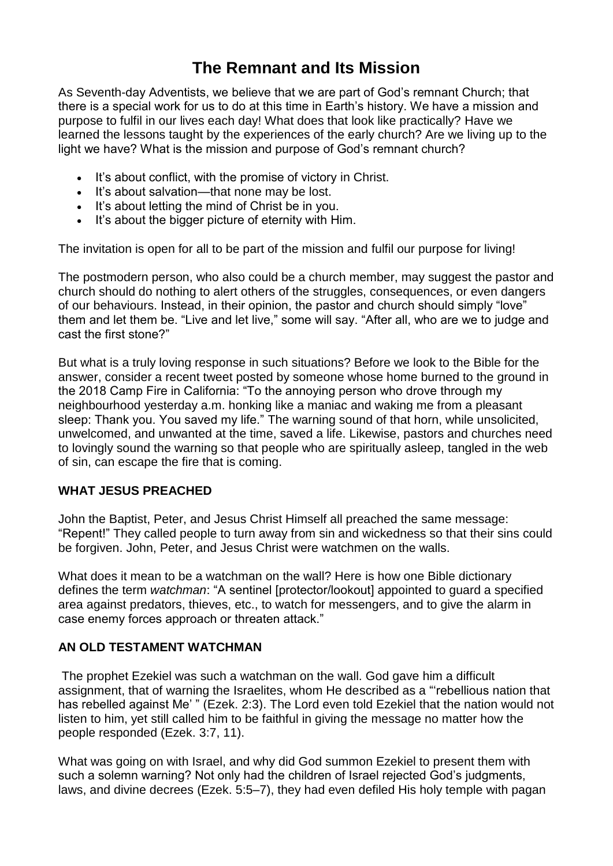## **The Remnant and Its Mission**

As Seventh-day Adventists, we believe that we are part of God's remnant Church; that there is a special work for us to do at this time in Earth's history. We have a mission and purpose to fulfil in our lives each day! What does that look like practically? Have we learned the lessons taught by the experiences of the early church? Are we living up to the light we have? What is the mission and purpose of God's remnant church?

- It's about conflict, with the promise of victory in Christ.
- It's about salvation—that none may be lost.
- It's about letting the mind of Christ be in you.
- It's about the bigger picture of eternity with Him.

The invitation is open for all to be part of the mission and fulfil our purpose for living!

The postmodern person, who also could be a church member, may suggest the pastor and church should do nothing to alert others of the struggles, consequences, or even dangers of our behaviours. Instead, in their opinion, the pastor and church should simply "love" them and let them be. "Live and let live," some will say. "After all, who are we to judge and cast the first stone?"

But what is a truly loving response in such situations? Before we look to the Bible for the answer, consider a recent tweet posted by someone whose home burned to the ground in the 2018 Camp Fire in California: "To the annoying person who drove through my neighbourhood yesterday a.m. honking like a maniac and waking me from a pleasant sleep: Thank you. You saved my life." The warning sound of that horn, while unsolicited, unwelcomed, and unwanted at the time, saved a life. Likewise, pastors and churches need to lovingly sound the warning so that people who are spiritually asleep, tangled in the web of sin, can escape the fire that is coming.

## **WHAT JESUS PREACHED**

John the Baptist, Peter, and Jesus Christ Himself all preached the same message: "Repent!" They called people to turn away from sin and wickedness so that their sins could be forgiven. John, Peter, and Jesus Christ were watchmen on the walls.

What does it mean to be a watchman on the wall? Here is how one Bible dictionary defines the term *watchman*: "A sentinel [protector/lookout] appointed to guard a specified area against predators, thieves, etc., to watch for messengers, and to give the alarm in case enemy forces approach or threaten attack."

## **AN OLD TESTAMENT WATCHMAN**

The prophet Ezekiel was such a watchman on the wall. God gave him a difficult assignment, that of warning the Israelites, whom He described as a "'rebellious nation that has rebelled against Me'" [\(Ezek.](https://biblia.com/bible/esv/Ezek.%202.3) 2:3). The Lord even told Ezekiel that the nation would not listen to him, yet still called him to be faithful in giving the message no matter how the people responded [\(Ezek.](https://biblia.com/bible/esv/Ezek.%203.7) 3:7, [11\)](https://biblia.com/bible/esv/Ezek%203.11).

What was going on with Israel, and why did God summon Ezekiel to present them with such a solemn warning? Not only had the children of Israel rejected God's judgments, laws, and divine decrees [\(Ezek.](https://biblia.com/bible/esv/Ezek.%205.5%E2%80%937) 5:5–7), they had even defiled His holy temple with pagan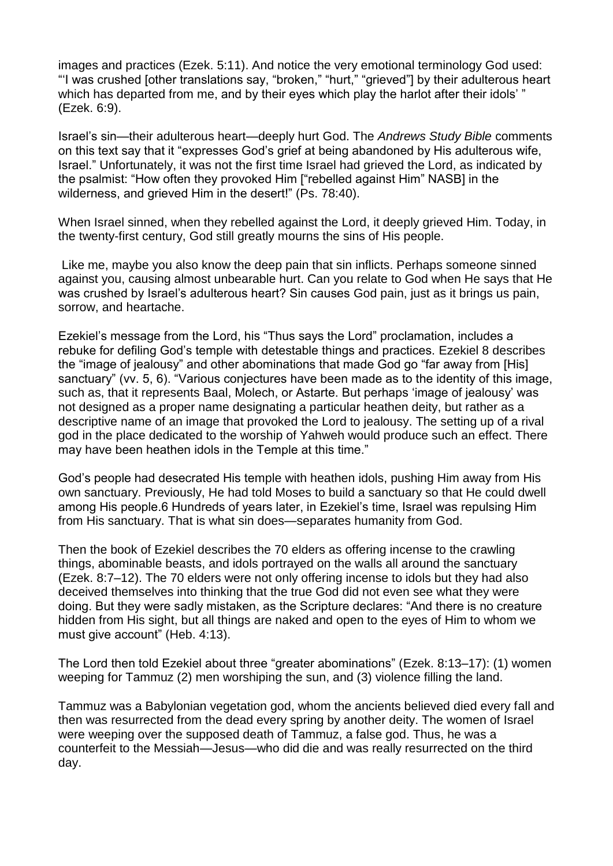images and practices [\(Ezek.](https://biblia.com/bible/esv/Ezek.%205.11) 5:11). And notice the very emotional terminology God used: "'I was crushed [other translations say, "broken," "hurt," "grieved"] by their adulterous heart which has departed from me, and by their eyes which play the harlot after their idols'" [\(Ezek.](https://biblia.com/bible/esv/Ezek.%206.9) 6:9).

Israel's sin—their adulterous heart—deeply hurt God. The *Andrews Study Bible* comments on this text say that it "expresses God's grief at being abandoned by His adulterous wife, Israel." Unfortunately, it was not the first time Israel had grieved the Lord, as indicated by the psalmist: "How often they provoked Him ["rebelled against Him" NASB] in the wilderness, and grieved Him in the desert!" (Ps. [78:40\)](https://biblia.com/bible/esv/Ps.%2078.40).

When Israel sinned, when they rebelled against the Lord, it deeply grieved Him. Today, in the twenty-first century, God still greatly mourns the sins of His people.

Like me, maybe you also know the deep pain that sin inflicts. Perhaps someone sinned against you, causing almost unbearable hurt. Can you relate to God when He says that He was crushed by Israel's adulterous heart? Sin causes God pain, just as it brings us pain, sorrow, and heartache.

Ezekiel's message from the Lord, his "Thus says the Lord" proclamation, includes a rebuke for defiling God's temple with detestable things and practices. [Ezekiel](https://biblia.com/bible/esv/Ezek%208) 8 describes the "image of jealousy" and other abominations that made God go "far away from [His] sanctuary" (vv. 5, 6). "Various conjectures have been made as to the identity of this image, such as, that it represents Baal, Molech, or Astarte. But perhaps 'image of jealousy' was not designed as a proper name designating a particular heathen deity, but rather as a descriptive name of an image that provoked the Lord to jealousy. The setting up of a rival god in the place dedicated to the worship of Yahweh would produce such an effect. There may have been heathen idols in the Temple at this time."

God's people had desecrated His temple with heathen idols, pushing Him away from His own sanctuary. Previously, He had told Moses to build a sanctuary so that He could dwell among His people.6 Hundreds of years later, in Ezekiel's time, Israel was repulsing Him from His sanctuary. That is what sin does—separates humanity from God.

Then the book of Ezekiel describes the 70 elders as offering incense to the crawling things, abominable beasts, and idols portrayed on the walls all around the sanctuary (Ezek. [8:7–12\)](https://biblia.com/bible/esv/Ezek.%208.7%E2%80%9312). The 70 elders were not only offering incense to idols but they had also deceived themselves into thinking that the true God did not even see what they were doing. But they were sadly mistaken, as the Scripture declares: "And there is no creature hidden from His sight, but all things are naked and open to the eyes of Him to whom we must give account" [\(Heb.](https://biblia.com/bible/esv/Heb.%204.13) 4:13).

The Lord then told Ezekiel about three "greater abominations" (Ezek. [8:13–17\)](https://biblia.com/bible/esv/Ezek.%208.13%E2%80%9317): (1) women weeping for Tammuz (2) men worshiping the sun, and (3) violence filling the land.

Tammuz was a Babylonian vegetation god, whom the ancients believed died every fall and then was resurrected from the dead every spring by another deity. The women of Israel were weeping over the supposed death of Tammuz, a false god. Thus, he was a counterfeit to the Messiah—Jesus—who did die and was really resurrected on the third day.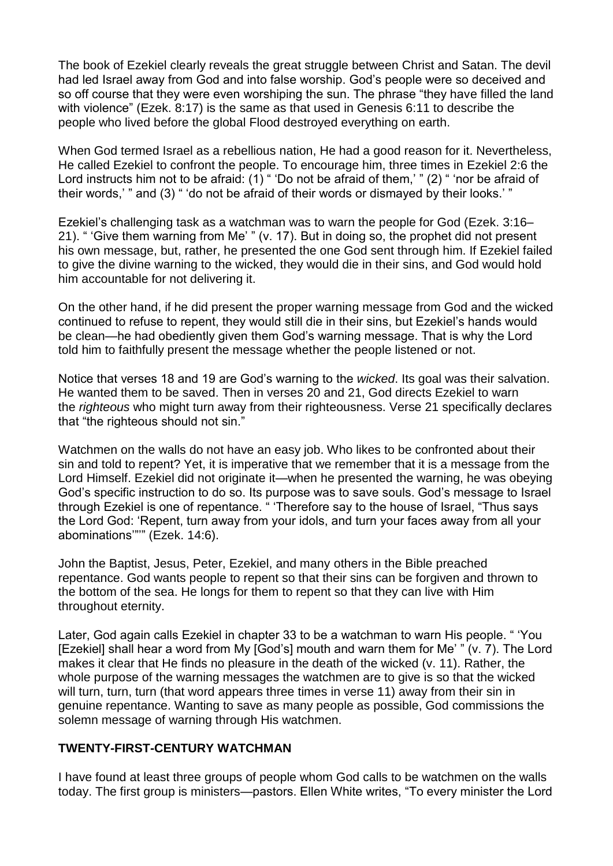The book of Ezekiel clearly reveals the great struggle between Christ and Satan. The devil had led Israel away from God and into false worship. God's people were so deceived and so off course that they were even worshiping the sun. The phrase "they have filled the land with violence" [\(Ezek.](https://biblia.com/bible/esv/Ezek.%208.17) 8:17) is the same as that used in [Genesis](https://biblia.com/bible/esv/Gen%206.11) 6:11 to describe the people who lived before the global Flood destroyed everything on earth.

When God termed Israel as a rebellious nation, He had a good reason for it. Nevertheless, He called Ezekiel to confront the people. To encourage him, three times in [Ezekiel](https://biblia.com/bible/esv/Ezek%202.6) 2:6 the Lord instructs him not to be afraid: (1) " 'Do not be afraid of them,' " (2) " 'nor be afraid of their words,' " and (3) " 'do not be afraid of their words or dismayed by their looks.' "

Ezekiel's challenging task as a watchman was to warn the people for God [\(Ezek.](https://biblia.com/bible/esv/Ezek.%203.16%E2%80%9321) 3:16– [21\)](https://biblia.com/bible/esv/Ezek.%203.16%E2%80%9321). " 'Give them warning from Me' " (v. 17). But in doing so, the prophet did not present his own message, but, rather, he presented the one God sent through him. If Ezekiel failed to give the divine warning to the wicked, they would die in their sins, and God would hold him accountable for not delivering it.

On the other hand, if he did present the proper warning message from God and the wicked continued to refuse to repent, they would still die in their sins, but Ezekiel's hands would be clean—he had obediently given them God's warning message. That is why the Lord told him to faithfully present the message whether the people listened or not.

Notice that verses 18 and 19 are God's warning to the *wicked*. Its goal was their salvation. He wanted them to be saved. Then in verses 20 and 21, God directs Ezekiel to warn the *righteous* who might turn away from their righteousness. Verse 21 specifically declares that "the righteous should not sin."

Watchmen on the walls do not have an easy job. Who likes to be confronted about their sin and told to repent? Yet, it is imperative that we remember that it is a message from the Lord Himself. Ezekiel did not originate it—when he presented the warning, he was obeying God's specific instruction to do so. Its purpose was to save souls. God's message to Israel through Ezekiel is one of repentance. " 'Therefore say to the house of Israel, "Thus says the Lord God: 'Repent, turn away from your idols, and turn your faces away from all your abominations'"'" [\(Ezek.](https://biblia.com/bible/esv/Ezek.%2014.6) 14:6).

John the Baptist, Jesus, Peter, Ezekiel, and many others in the Bible preached repentance. God wants people to repent so that their sins can be forgiven and thrown to the bottom of the sea. He longs for them to repent so that they can live with Him throughout eternity.

Later, God again calls Ezekiel in chapter 33 to be a watchman to warn His people. " 'You [Ezekiel] shall hear a word from My [God's] mouth and warn them for Me' " (v. 7). The Lord makes it clear that He finds no pleasure in the death of the wicked (v. 11). Rather, the whole purpose of the warning messages the watchmen are to give is so that the wicked will turn, turn, turn (that word appears three times in verse 11) away from their sin in genuine repentance. Wanting to save as many people as possible, God commissions the solemn message of warning through His watchmen.

## **TWENTY-FIRST-CENTURY WATCHMAN**

I have found at least three groups of people whom God calls to be watchmen on the walls today. The first group is ministers—pastors. Ellen White writes, "To every minister the Lord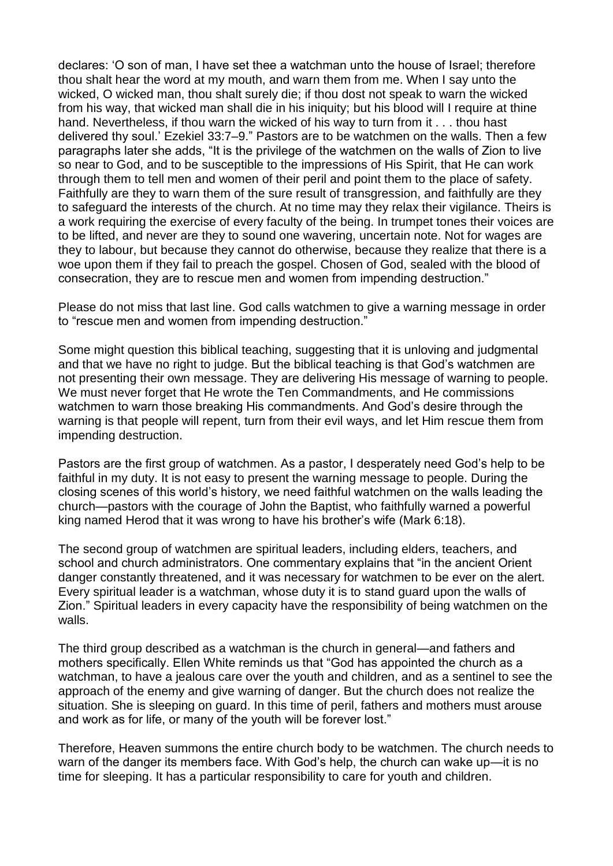declares: 'O son of man, I have set thee a watchman unto the house of Israel; therefore thou shalt hear the word at my mouth, and warn them from me. When I say unto the wicked, O wicked man, thou shalt surely die; if thou dost not speak to warn the wicked from his way, that wicked man shall die in his iniquity; but his blood will I require at thine hand. Nevertheless, if thou warn the wicked of his way to turn from it . . . thou hast delivered thy soul.' [Ezekiel](https://biblia.com/bible/esv/Ezek%2033.7%E2%80%939) 33:7–9." Pastors are to be watchmen on the walls. Then a few paragraphs later she adds, "It is the privilege of the watchmen on the walls of Zion to live so near to God, and to be susceptible to the impressions of His Spirit, that He can work through them to tell men and women of their peril and point them to the place of safety. Faithfully are they to warn them of the sure result of transgression, and faithfully are they to safeguard the interests of the church. At no time may they relax their vigilance. Theirs is a work requiring the exercise of every faculty of the being. In trumpet tones their voices are to be lifted, and never are they to sound one wavering, uncertain note. Not for wages are they to labour, but because they cannot do otherwise, because they realize that there is a woe upon them if they fail to preach the gospel. Chosen of God, sealed with the blood of consecration, they are to rescue men and women from impending destruction."

Please do not miss that last line. God calls watchmen to give a warning message in order to "rescue men and women from impending destruction."

Some might question this biblical teaching, suggesting that it is unloving and judgmental and that we have no right to judge. But the biblical teaching is that God's watchmen are not presenting their own message. They are delivering His message of warning to people. We must never forget that He wrote the Ten Commandments, and He commissions watchmen to warn those breaking His commandments. And God's desire through the warning is that people will repent, turn from their evil ways, and let Him rescue them from impending destruction.

Pastors are the first group of watchmen. As a pastor, I desperately need God's help to be faithful in my duty. It is not easy to present the warning message to people. During the closing scenes of this world's history, we need faithful watchmen on the walls leading the church—pastors with the courage of John the Baptist, who faithfully warned a powerful king named Herod that it was wrong to have his brother's wife [\(Mark](https://biblia.com/bible/esv/Mark%206.18) 6:18).

The second group of watchmen are spiritual leaders, including elders, teachers, and school and church administrators. One commentary explains that "in the ancient Orient danger constantly threatened, and it was necessary for watchmen to be ever on the alert. Every spiritual leader is a watchman, whose duty it is to stand guard upon the walls of Zion." Spiritual leaders in every capacity have the responsibility of being watchmen on the walls.

The third group described as a watchman is the church in general—and fathers and mothers specifically. Ellen White reminds us that "God has appointed the church as a watchman, to have a jealous care over the youth and children, and as a sentinel to see the approach of the enemy and give warning of danger. But the church does not realize the situation. She is sleeping on guard. In this time of peril, fathers and mothers must arouse and work as for life, or many of the youth will be forever lost."

Therefore, Heaven summons the entire church body to be watchmen. The church needs to warn of the danger its members face. With God's help, the church can wake up—it is no time for sleeping. It has a particular responsibility to care for youth and children.